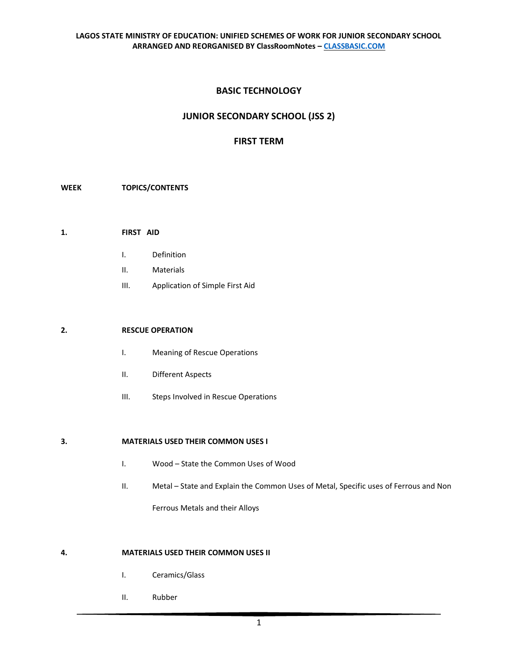# **BASIC TECHNOLOGY**

# **JUNIOR SECONDARY SCHOOL (JSS 2)**

## **FIRST TERM**

## **WEEK TOPICS/CONTENTS**

- **1. FIRST AID** 
	- I. Definition
	- II. Materials
	- III. Application of Simple First Aid

## **2. RESCUE OPERATION**

- I. Meaning of Rescue Operations
- II. Different Aspects
- III. Steps Involved in Rescue Operations

#### **3. MATERIALS USED THEIR COMMON USES I**

- I. Wood State the Common Uses of Wood
- II. Metal State and Explain the Common Uses of Metal, Specific uses of Ferrous and Non

Ferrous Metals and their Alloys

## **4. MATERIALS USED THEIR COMMON USES II**

- I. Ceramics/Glass
- II. Rubber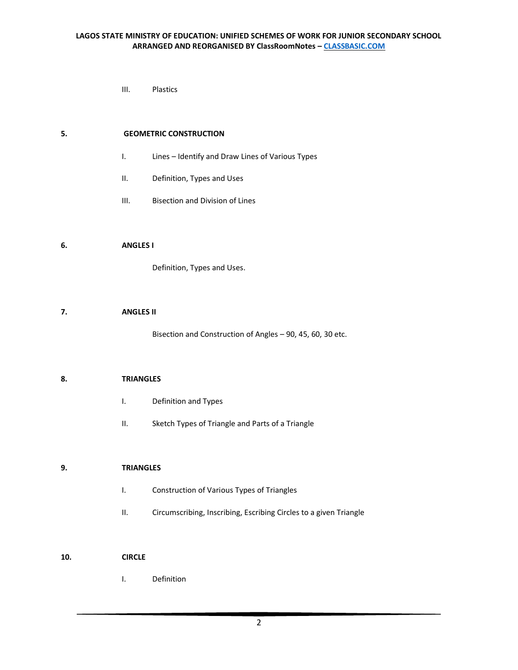III. Plastics

## **5. GEOMETRIC CONSTRUCTION**

- I. Lines Identify and Draw Lines of Various Types
- II. Definition, Types and Uses
- III. Bisection and Division of Lines

#### **6. ANGLES I**

Definition, Types and Uses.

## **7. ANGLES II**

Bisection and Construction of Angles – 90, 45, 60, 30 etc.

#### **8. TRIANGLES**

- I. Definition and Types
- II. Sketch Types of Triangle and Parts of a Triangle

## **9. TRIANGLES**

- I. Construction of Various Types of Triangles
- II. Circumscribing, Inscribing, Escribing Circles to a given Triangle

## **10. CIRCLE**

I. Definition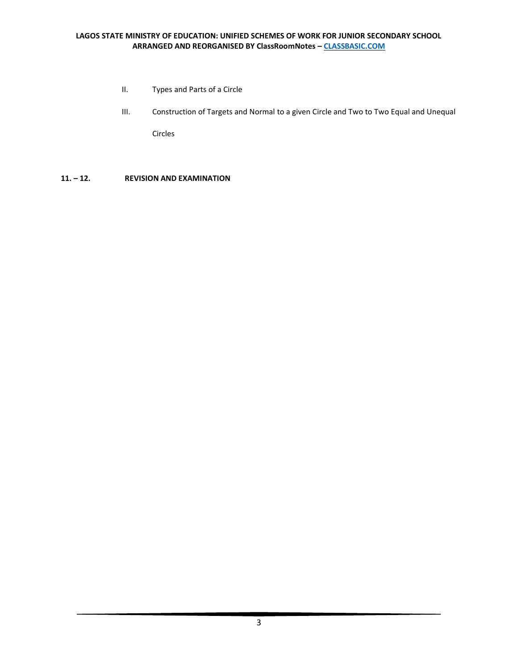## **LAGOS STATE MINISTRY OF EDUCATION: UNIFIED SCHEMES OF WORK FOR JUNIOR SECONDARY SCHOOL ARRANGED AND REORGANISED BY ClassRoomNotes – [CLASSBASIC.COM](http://classbasic.com/)**

- II. Types and Parts of a Circle
- III. Construction of Targets and Normal to a given Circle and Two to Two Equal and Unequal Circles
- **11. – 12. REVISION AND EXAMINATION**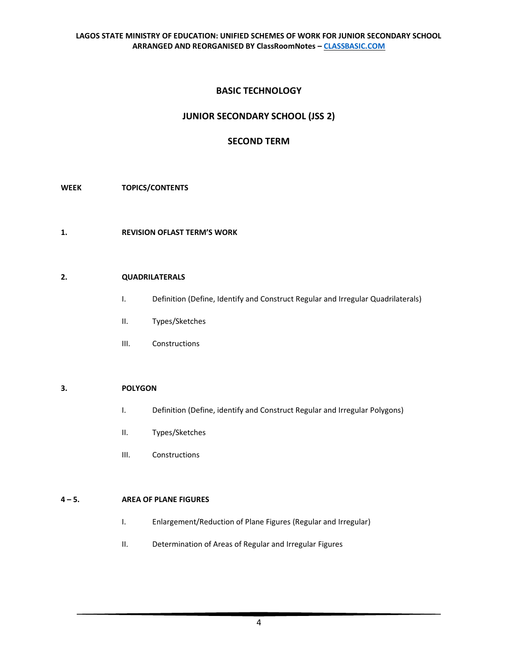# **BASIC TECHNOLOGY**

# **JUNIOR SECONDARY SCHOOL (JSS 2)**

# **SECOND TERM**

## **WEEK TOPICS/CONTENTS**

**1. REVISION OFLAST TERM'S WORK** 

#### **2. QUADRILATERALS**

- I. Definition (Define, Identify and Construct Regular and Irregular Quadrilaterals)
- II. Types/Sketches
- III. Constructions

#### **3. POLYGON**

- I. Definition (Define, identify and Construct Regular and Irregular Polygons)
- II. Types/Sketches
- III. Constructions

#### **4 – 5. AREA OF PLANE FIGURES**

- I. Enlargement/Reduction of Plane Figures (Regular and Irregular)
- II. Determination of Areas of Regular and Irregular Figures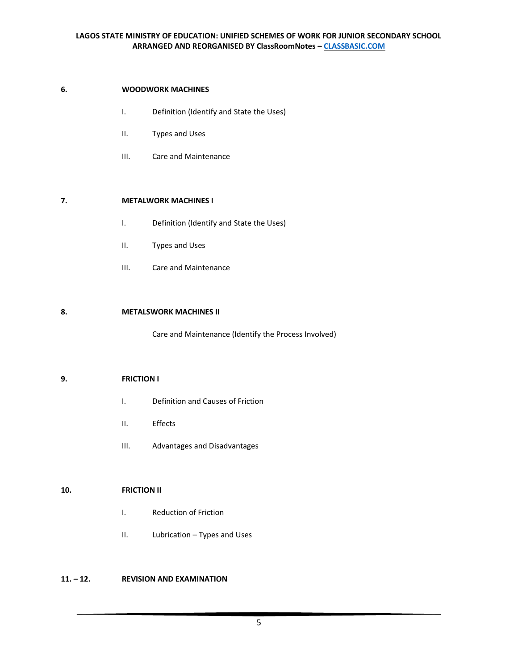## **LAGOS STATE MINISTRY OF EDUCATION: UNIFIED SCHEMES OF WORK FOR JUNIOR SECONDARY SCHOOL ARRANGED AND REORGANISED BY ClassRoomNotes – [CLASSBASIC.COM](http://classbasic.com/)**

## **6. WOODWORK MACHINES**

- I. Definition (Identify and State the Uses)
- II. Types and Uses
- III. Care and Maintenance

## **7. METALWORK MACHINES I**

- I. Definition (Identify and State the Uses)
- II. Types and Uses
- III. Care and Maintenance

## **8. METALSWORK MACHINES II**

Care and Maintenance (Identify the Process Involved)

## **9. FRICTION I**

- I. Definition and Causes of Friction
- II. Effects
- III. Advantages and Disadvantages

## **10. FRICTION II**

- I. Reduction of Friction
- II. Lubrication Types and Uses

## **11. – 12. REVISION AND EXAMINATION**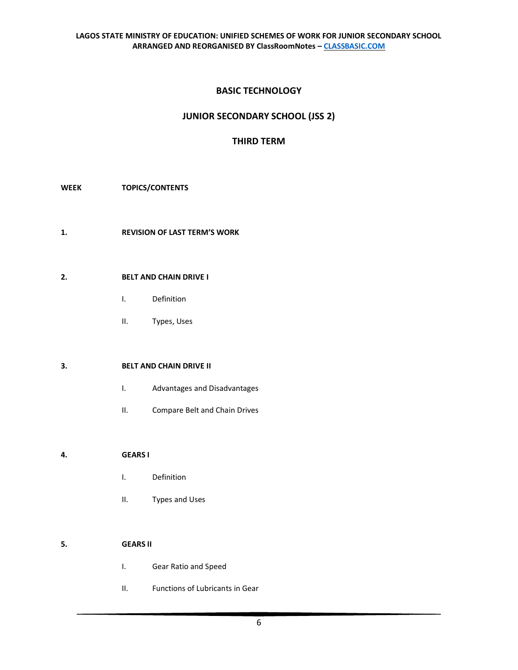# **BASIC TECHNOLOGY**

# **JUNIOR SECONDARY SCHOOL (JSS 2)**

# **THIRD TERM**

## **WEEK TOPICS/CONTENTS**

**1. REVISION OF LAST TERM'S WORK**

## **2. BELT AND CHAIN DRIVE I**

- I. Definition
- II. Types, Uses

## **3. BELT AND CHAIN DRIVE II**

- I. Advantages and Disadvantages
- II. Compare Belt and Chain Drives

## **4. GEARS I**

- I. Definition
- II. Types and Uses

# **5. GEARS II**

- I. Gear Ratio and Speed
- II. Functions of Lubricants in Gear